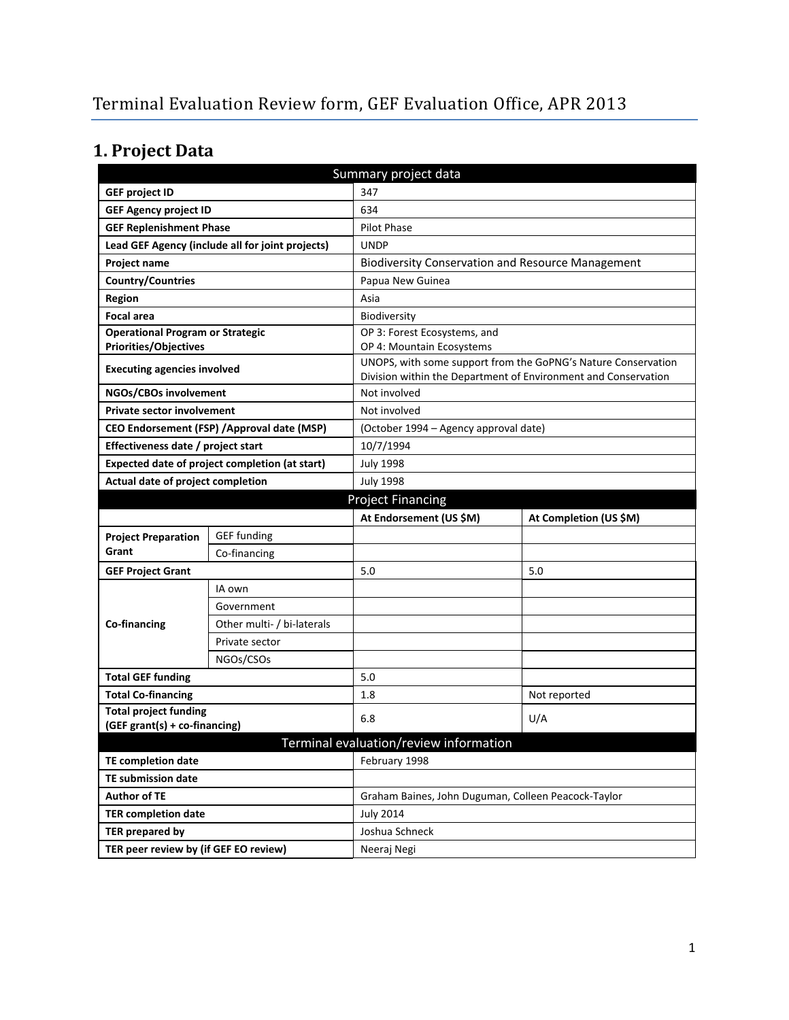# **1. Project Data**

| Summary project data                                                                |                                                  |                                                          |                                                                                                                                 |  |
|-------------------------------------------------------------------------------------|--------------------------------------------------|----------------------------------------------------------|---------------------------------------------------------------------------------------------------------------------------------|--|
| <b>GEF project ID</b>                                                               |                                                  | 347                                                      |                                                                                                                                 |  |
| <b>GEF Agency project ID</b>                                                        |                                                  | 634                                                      |                                                                                                                                 |  |
| <b>GEF Replenishment Phase</b>                                                      |                                                  | <b>Pilot Phase</b>                                       |                                                                                                                                 |  |
|                                                                                     | Lead GEF Agency (include all for joint projects) | <b>UNDP</b>                                              |                                                                                                                                 |  |
| <b>Project name</b>                                                                 |                                                  | <b>Biodiversity Conservation and Resource Management</b> |                                                                                                                                 |  |
| Country/Countries                                                                   |                                                  | Papua New Guinea                                         |                                                                                                                                 |  |
| <b>Region</b>                                                                       |                                                  | Asia                                                     |                                                                                                                                 |  |
| <b>Focal area</b>                                                                   |                                                  | Biodiversity                                             |                                                                                                                                 |  |
| <b>Operational Program or Strategic</b>                                             |                                                  | OP 3: Forest Ecosystems, and                             |                                                                                                                                 |  |
| <b>Priorities/Objectives</b>                                                        |                                                  | OP 4: Mountain Ecosystems                                |                                                                                                                                 |  |
| <b>Executing agencies involved</b>                                                  |                                                  |                                                          | UNOPS, with some support from the GoPNG's Nature Conservation<br>Division within the Department of Environment and Conservation |  |
| NGOs/CBOs involvement                                                               |                                                  | Not involved                                             |                                                                                                                                 |  |
| <b>Private sector involvement</b>                                                   |                                                  | Not involved                                             |                                                                                                                                 |  |
|                                                                                     | CEO Endorsement (FSP) / Approval date (MSP)      | (October 1994 – Agency approval date)                    |                                                                                                                                 |  |
| Effectiveness date / project start                                                  |                                                  | 10/7/1994                                                |                                                                                                                                 |  |
|                                                                                     |                                                  | <b>July 1998</b>                                         |                                                                                                                                 |  |
| Expected date of project completion (at start)<br>Actual date of project completion |                                                  | <b>July 1998</b>                                         |                                                                                                                                 |  |
| <b>Project Financing</b>                                                            |                                                  |                                                          |                                                                                                                                 |  |
| At Endorsement (US \$M)<br>At Completion (US \$M)                                   |                                                  |                                                          |                                                                                                                                 |  |
| <b>Project Preparation</b>                                                          | <b>GEF</b> funding                               |                                                          |                                                                                                                                 |  |
| Grant                                                                               | Co-financing                                     |                                                          |                                                                                                                                 |  |
| <b>GEF Project Grant</b>                                                            |                                                  | 5.0                                                      | 5.0                                                                                                                             |  |
|                                                                                     | IA own                                           |                                                          |                                                                                                                                 |  |
|                                                                                     | Government                                       |                                                          |                                                                                                                                 |  |
| Co-financing                                                                        | Other multi- / bi-laterals                       |                                                          |                                                                                                                                 |  |
|                                                                                     | Private sector                                   |                                                          |                                                                                                                                 |  |
|                                                                                     | NGOs/CSOs                                        |                                                          |                                                                                                                                 |  |
| <b>Total GEF funding</b>                                                            |                                                  | 5.0                                                      |                                                                                                                                 |  |
| <b>Total Co-financing</b>                                                           |                                                  | 1.8                                                      | Not reported                                                                                                                    |  |
| <b>Total project funding</b>                                                        |                                                  |                                                          |                                                                                                                                 |  |
| (GEF grant(s) + co-financing)                                                       |                                                  | 6.8                                                      | U/A                                                                                                                             |  |
| Terminal evaluation/review information                                              |                                                  |                                                          |                                                                                                                                 |  |
| <b>TE completion date</b>                                                           |                                                  | February 1998                                            |                                                                                                                                 |  |
| <b>TE submission date</b>                                                           |                                                  |                                                          |                                                                                                                                 |  |
| <b>Author of TE</b>                                                                 |                                                  | Graham Baines, John Duguman, Colleen Peacock-Taylor      |                                                                                                                                 |  |
| <b>TER completion date</b>                                                          |                                                  | <b>July 2014</b>                                         |                                                                                                                                 |  |
| <b>TER prepared by</b>                                                              |                                                  | Joshua Schneck                                           |                                                                                                                                 |  |
| TER peer review by (if GEF EO review)                                               |                                                  | Neeraj Negi                                              |                                                                                                                                 |  |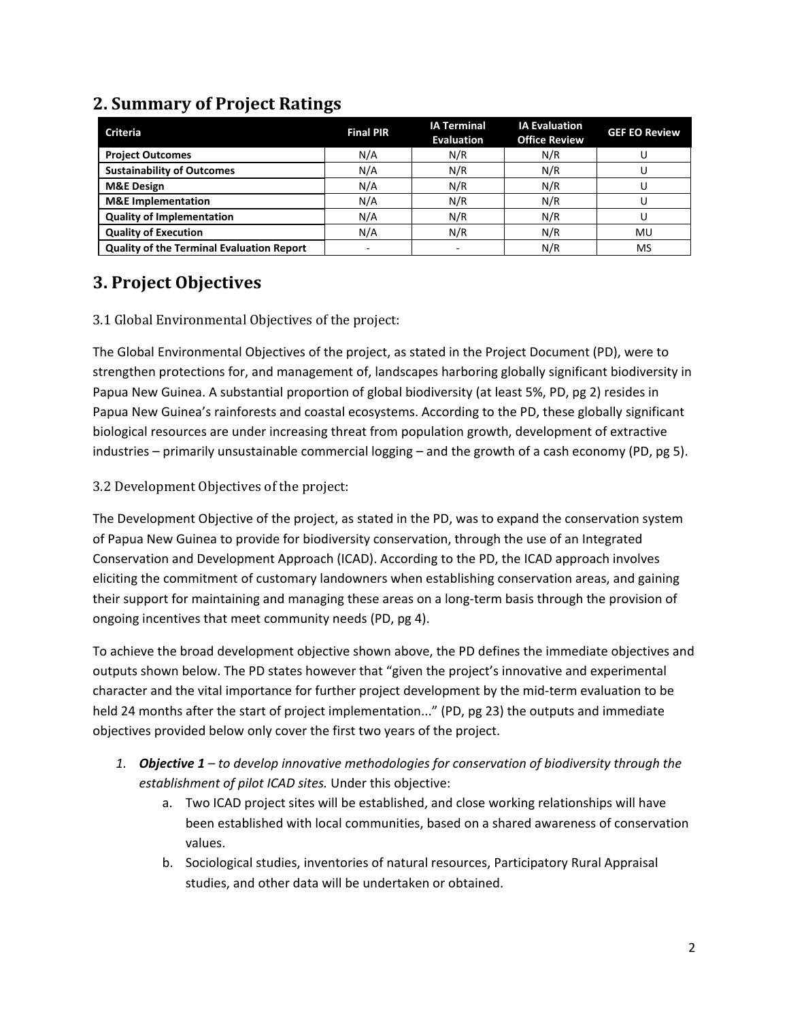| <b>Criteria</b>                                  | <b>Final PIR</b> | <b>IA Terminal</b><br><b>Evaluation</b> | <b>IA Evaluation</b><br><b>Office Review</b> | <b>GEF EO Review</b> |
|--------------------------------------------------|------------------|-----------------------------------------|----------------------------------------------|----------------------|
| <b>Project Outcomes</b>                          | N/A              | N/R                                     | N/R                                          |                      |
| <b>Sustainability of Outcomes</b>                | N/A              | N/R                                     | N/R                                          |                      |
| <b>M&amp;E Design</b>                            | N/A              | N/R                                     | N/R                                          |                      |
| <b>M&amp;E</b> Implementation                    | N/A              | N/R                                     | N/R                                          |                      |
| <b>Quality of Implementation</b>                 | N/A              | N/R                                     | N/R                                          |                      |
| <b>Quality of Execution</b>                      | N/A              | N/R                                     | N/R                                          | MU                   |
| <b>Quality of the Terminal Evaluation Report</b> |                  |                                         | N/R                                          | MS                   |

#### **2. Summary of Project Ratings**

### **3. Project Objectives**

#### 3.1 Global Environmental Objectives of the project:

The Global Environmental Objectives of the project, as stated in the Project Document (PD), were to strengthen protections for, and management of, landscapes harboring globally significant biodiversity in Papua New Guinea. A substantial proportion of global biodiversity (at least 5%, PD, pg 2) resides in Papua New Guinea's rainforests and coastal ecosystems. According to the PD, these globally significant biological resources are under increasing threat from population growth, development of extractive industries – primarily unsustainable commercial logging – and the growth of a cash economy (PD, pg 5).

#### 3.2 Development Objectives of the project:

The Development Objective of the project, as stated in the PD, was to expand the conservation system of Papua New Guinea to provide for biodiversity conservation, through the use of an Integrated Conservation and Development Approach (ICAD). According to the PD, the ICAD approach involves eliciting the commitment of customary landowners when establishing conservation areas, and gaining their support for maintaining and managing these areas on a long-term basis through the provision of ongoing incentives that meet community needs (PD, pg 4).

To achieve the broad development objective shown above, the PD defines the immediate objectives and outputs shown below. The PD states however that "given the project's innovative and experimental character and the vital importance for further project development by the mid-term evaluation to be held 24 months after the start of project implementation..." (PD, pg 23) the outputs and immediate objectives provided below only cover the first two years of the project.

- *1. Objective 1 to develop innovative methodologies for conservation of biodiversity through the establishment of pilot ICAD sites.* Under this objective:
	- a. Two ICAD project sites will be established, and close working relationships will have been established with local communities, based on a shared awareness of conservation values.
	- b. Sociological studies, inventories of natural resources, Participatory Rural Appraisal studies, and other data will be undertaken or obtained.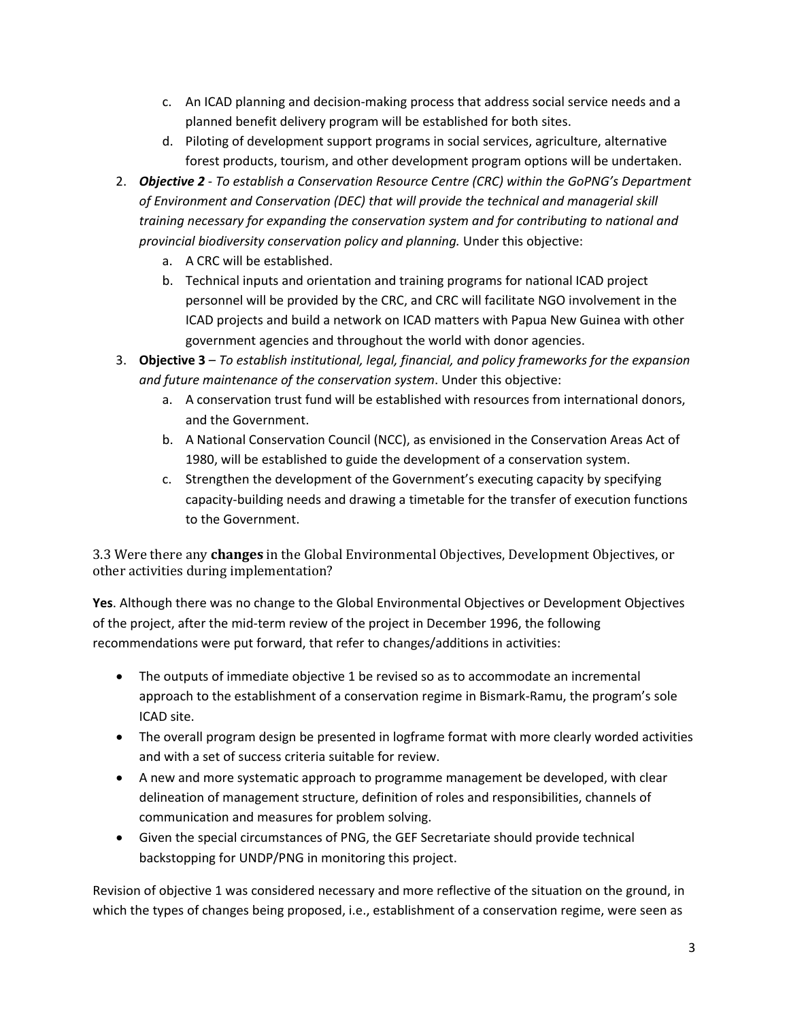- c. An ICAD planning and decision-making process that address social service needs and a planned benefit delivery program will be established for both sites.
- d. Piloting of development support programs in social services, agriculture, alternative forest products, tourism, and other development program options will be undertaken.
- 2. *Objective 2 To establish a Conservation Resource Centre (CRC) within the GoPNG's Department of Environment and Conservation (DEC) that will provide the technical and managerial skill training necessary for expanding the conservation system and for contributing to national and provincial biodiversity conservation policy and planning.* Under this objective:
	- a. A CRC will be established.
	- b. Technical inputs and orientation and training programs for national ICAD project personnel will be provided by the CRC, and CRC will facilitate NGO involvement in the ICAD projects and build a network on ICAD matters with Papua New Guinea with other government agencies and throughout the world with donor agencies.
- 3. **Objective 3** *To establish institutional, legal, financial, and policy frameworks for the expansion and future maintenance of the conservation system*. Under this objective:
	- a. A conservation trust fund will be established with resources from international donors, and the Government.
	- b. A National Conservation Council (NCC), as envisioned in the Conservation Areas Act of 1980, will be established to guide the development of a conservation system.
	- c. Strengthen the development of the Government's executing capacity by specifying capacity-building needs and drawing a timetable for the transfer of execution functions to the Government.

3.3 Were there any **changes** in the Global Environmental Objectives, Development Objectives, or other activities during implementation?

**Yes**. Although there was no change to the Global Environmental Objectives or Development Objectives of the project, after the mid-term review of the project in December 1996, the following recommendations were put forward, that refer to changes/additions in activities:

- The outputs of immediate objective 1 be revised so as to accommodate an incremental approach to the establishment of a conservation regime in Bismark-Ramu, the program's sole ICAD site.
- The overall program design be presented in logframe format with more clearly worded activities and with a set of success criteria suitable for review.
- A new and more systematic approach to programme management be developed, with clear delineation of management structure, definition of roles and responsibilities, channels of communication and measures for problem solving.
- Given the special circumstances of PNG, the GEF Secretariate should provide technical backstopping for UNDP/PNG in monitoring this project.

Revision of objective 1 was considered necessary and more reflective of the situation on the ground, in which the types of changes being proposed, i.e., establishment of a conservation regime, were seen as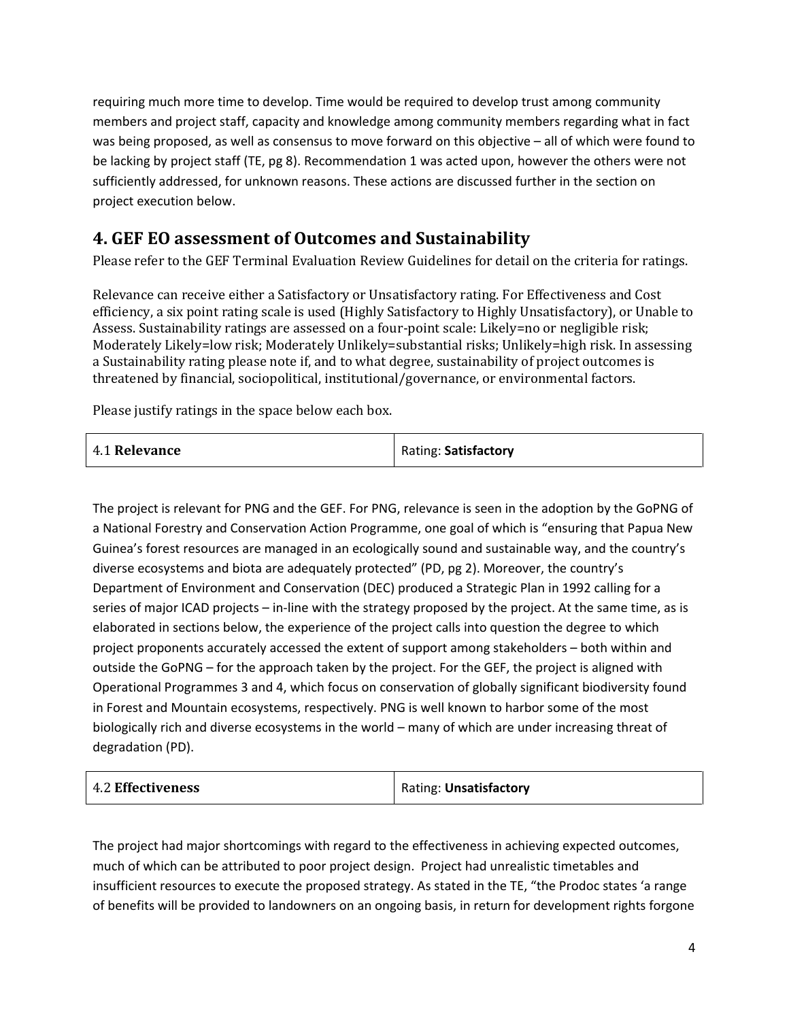requiring much more time to develop. Time would be required to develop trust among community members and project staff, capacity and knowledge among community members regarding what in fact was being proposed, as well as consensus to move forward on this objective – all of which were found to be lacking by project staff (TE, pg 8). Recommendation 1 was acted upon, however the others were not sufficiently addressed, for unknown reasons. These actions are discussed further in the section on project execution below.

### **4. GEF EO assessment of Outcomes and Sustainability**

Please refer to the GEF Terminal Evaluation Review Guidelines for detail on the criteria for ratings.

Relevance can receive either a Satisfactory or Unsatisfactory rating. For Effectiveness and Cost efficiency, a six point rating scale is used (Highly Satisfactory to Highly Unsatisfactory), or Unable to Assess. Sustainability ratings are assessed on a four-point scale: Likely=no or negligible risk; Moderately Likely=low risk; Moderately Unlikely=substantial risks; Unlikely=high risk. In assessing a Sustainability rating please note if, and to what degree, sustainability of project outcomes is threatened by financial, sociopolitical, institutional/governance, or environmental factors.

Please justify ratings in the space below each box.

| 4.1 Relevance | Rating: Satisfactory |
|---------------|----------------------|
|---------------|----------------------|

The project is relevant for PNG and the GEF. For PNG, relevance is seen in the adoption by the GoPNG of a National Forestry and Conservation Action Programme, one goal of which is "ensuring that Papua New Guinea's forest resources are managed in an ecologically sound and sustainable way, and the country's diverse ecosystems and biota are adequately protected" (PD, pg 2). Moreover, the country's Department of Environment and Conservation (DEC) produced a Strategic Plan in 1992 calling for a series of major ICAD projects – in-line with the strategy proposed by the project. At the same time, as is elaborated in sections below, the experience of the project calls into question the degree to which project proponents accurately accessed the extent of support among stakeholders – both within and outside the GoPNG – for the approach taken by the project. For the GEF, the project is aligned with Operational Programmes 3 and 4, which focus on conservation of globally significant biodiversity found in Forest and Mountain ecosystems, respectively. PNG is well known to harbor some of the most biologically rich and diverse ecosystems in the world – many of which are under increasing threat of degradation (PD).

| 4.2 Effectiveness | Rating: Unsatisfactory |
|-------------------|------------------------|
|-------------------|------------------------|

The project had major shortcomings with regard to the effectiveness in achieving expected outcomes, much of which can be attributed to poor project design. Project had unrealistic timetables and insufficient resources to execute the proposed strategy. As stated in the TE, "the Prodoc states 'a range of benefits will be provided to landowners on an ongoing basis, in return for development rights forgone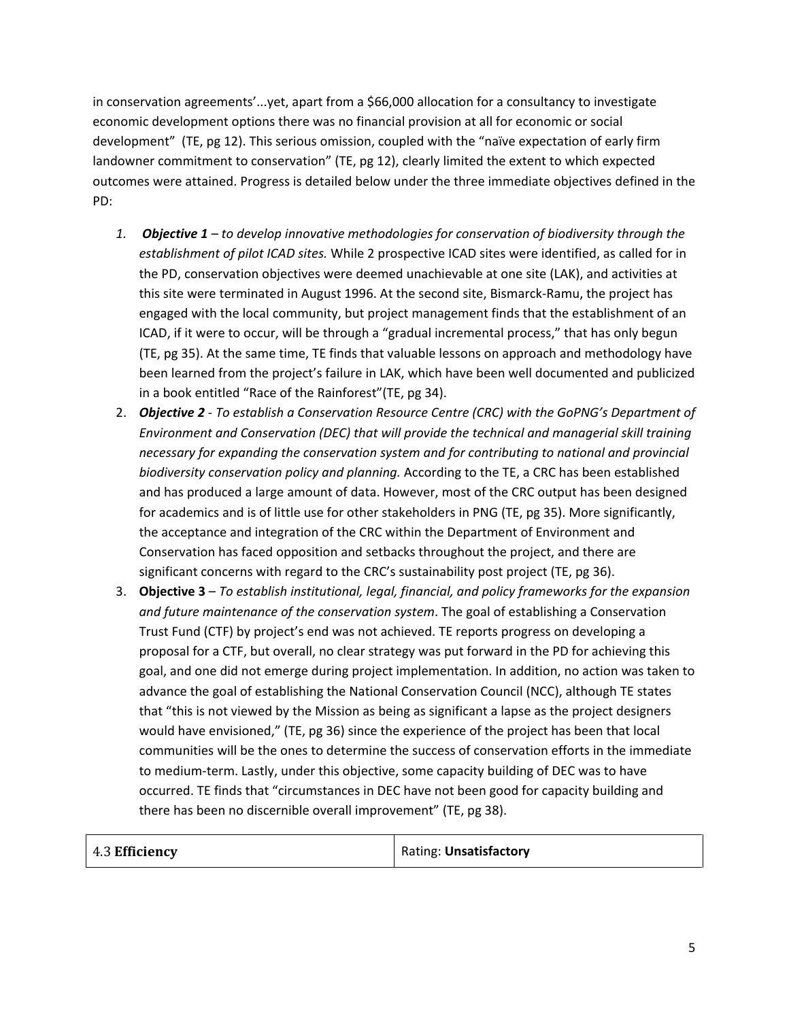in conservation agreements'...yet, apart from a \$66,000 allocation for a consultancy to investigate economic development options there was no financial provision at all for economic or social development" (TE, pg 12). This serious omission, coupled with the "naïve expectation of early firm landowner commitment to conservation" (TE, pg 12), clearly limited the extent to which expected outcomes were attained. Progress is detailed below under the three immediate objectives defined in the PD:

- *1. Objective 1 to develop innovative methodologies for conservation of biodiversity through the establishment of pilot ICAD sites.* While 2 prospective ICAD sites were identified, as called for in the PD, conservation objectives were deemed unachievable at one site (LAK), and activities at this site were terminated in August 1996. At the second site, Bismarck-Ramu, the project has engaged with the local community, but project management finds that the establishment of an ICAD, if it were to occur, will be through a "gradual incremental process," that has only begun (TE, pg 35). At the same time, TE finds that valuable lessons on approach and methodology have been learned from the project's failure in LAK, which have been well documented and publicized in a book entitled "Race of the Rainforest"(TE, pg 34).
- 2. *Objective 2 To establish a Conservation Resource Centre (CRC) with the GoPNG's Department of Environment and Conservation (DEC) that will provide the technical and managerial skill training necessary for expanding the conservation system and for contributing to national and provincial biodiversity conservation policy and planning.* According to the TE, a CRC has been established and has produced a large amount of data. However, most of the CRC output has been designed for academics and is of little use for other stakeholders in PNG (TE, pg 35). More significantly, the acceptance and integration of the CRC within the Department of Environment and Conservation has faced opposition and setbacks throughout the project, and there are significant concerns with regard to the CRC's sustainability post project (TE, pg 36).
- 3. **Objective 3** *To establish institutional, legal, financial, and policy frameworks for the expansion and future maintenance of the conservation system*. The goal of establishing a Conservation Trust Fund (CTF) by project's end was not achieved. TE reports progress on developing a proposal for a CTF, but overall, no clear strategy was put forward in the PD for achieving this goal, and one did not emerge during project implementation. In addition, no action was taken to advance the goal of establishing the National Conservation Council (NCC), although TE states that "this is not viewed by the Mission as being as significant a lapse as the project designers would have envisioned," (TE, pg 36) since the experience of the project has been that local communities will be the ones to determine the success of conservation efforts in the immediate to medium-term. Lastly, under this objective, some capacity building of DEC was to have occurred. TE finds that "circumstances in DEC have not been good for capacity building and there has been no discernible overall improvement" (TE, pg 38).

| $\vert$ 4.3 Efficiency | <b>Rating: Unsatisfactory</b> |
|------------------------|-------------------------------|
|                        |                               |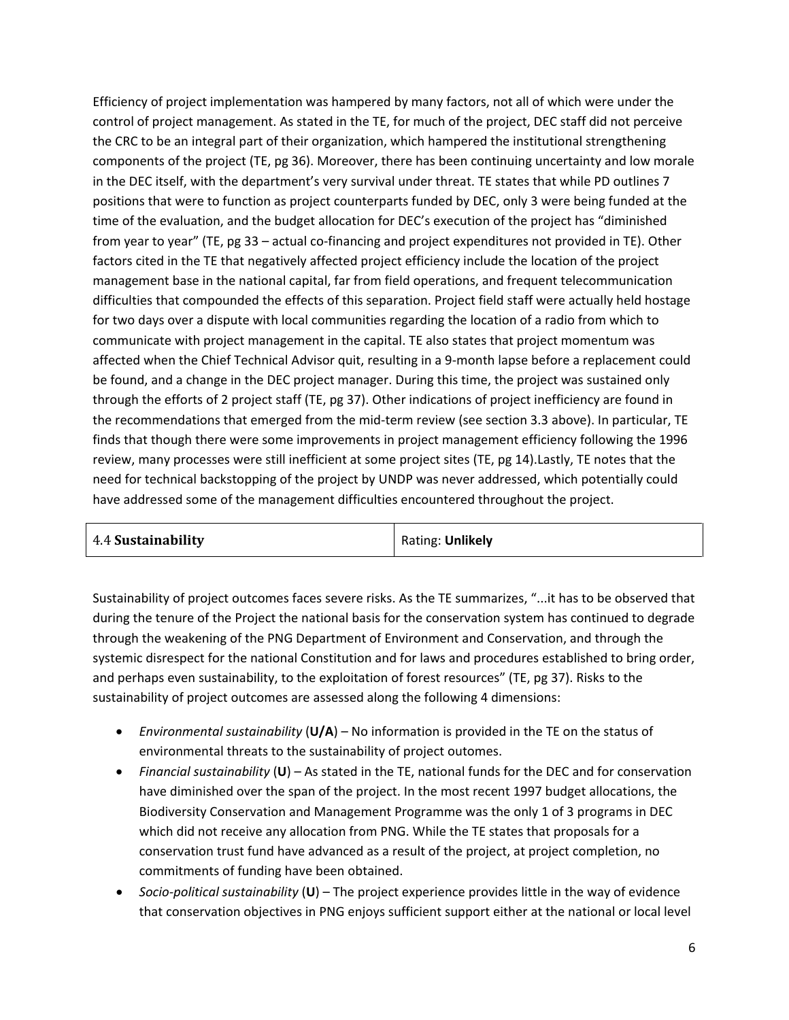Efficiency of project implementation was hampered by many factors, not all of which were under the control of project management. As stated in the TE, for much of the project, DEC staff did not perceive the CRC to be an integral part of their organization, which hampered the institutional strengthening components of the project (TE, pg 36). Moreover, there has been continuing uncertainty and low morale in the DEC itself, with the department's very survival under threat. TE states that while PD outlines 7 positions that were to function as project counterparts funded by DEC, only 3 were being funded at the time of the evaluation, and the budget allocation for DEC's execution of the project has "diminished from year to year" (TE, pg 33 – actual co-financing and project expenditures not provided in TE). Other factors cited in the TE that negatively affected project efficiency include the location of the project management base in the national capital, far from field operations, and frequent telecommunication difficulties that compounded the effects of this separation. Project field staff were actually held hostage for two days over a dispute with local communities regarding the location of a radio from which to communicate with project management in the capital. TE also states that project momentum was affected when the Chief Technical Advisor quit, resulting in a 9-month lapse before a replacement could be found, and a change in the DEC project manager. During this time, the project was sustained only through the efforts of 2 project staff (TE, pg 37). Other indications of project inefficiency are found in the recommendations that emerged from the mid-term review (see section 3.3 above). In particular, TE finds that though there were some improvements in project management efficiency following the 1996 review, many processes were still inefficient at some project sites (TE, pg 14).Lastly, TE notes that the need for technical backstopping of the project by UNDP was never addressed, which potentially could have addressed some of the management difficulties encountered throughout the project.

| 4.4 Sustainability | Rating: Unlikely |
|--------------------|------------------|
|                    |                  |

Sustainability of project outcomes faces severe risks. As the TE summarizes, "...it has to be observed that during the tenure of the Project the national basis for the conservation system has continued to degrade through the weakening of the PNG Department of Environment and Conservation, and through the systemic disrespect for the national Constitution and for laws and procedures established to bring order, and perhaps even sustainability, to the exploitation of forest resources" (TE, pg 37). Risks to the sustainability of project outcomes are assessed along the following 4 dimensions:

- *Environmental sustainability* (**U/A**) No information is provided in the TE on the status of environmental threats to the sustainability of project outomes.
- *Financial sustainability* (**U**) As stated in the TE, national funds for the DEC and for conservation have diminished over the span of the project. In the most recent 1997 budget allocations, the Biodiversity Conservation and Management Programme was the only 1 of 3 programs in DEC which did not receive any allocation from PNG. While the TE states that proposals for a conservation trust fund have advanced as a result of the project, at project completion, no commitments of funding have been obtained.
- *Socio-political sustainability* (**U**) The project experience provides little in the way of evidence that conservation objectives in PNG enjoys sufficient support either at the national or local level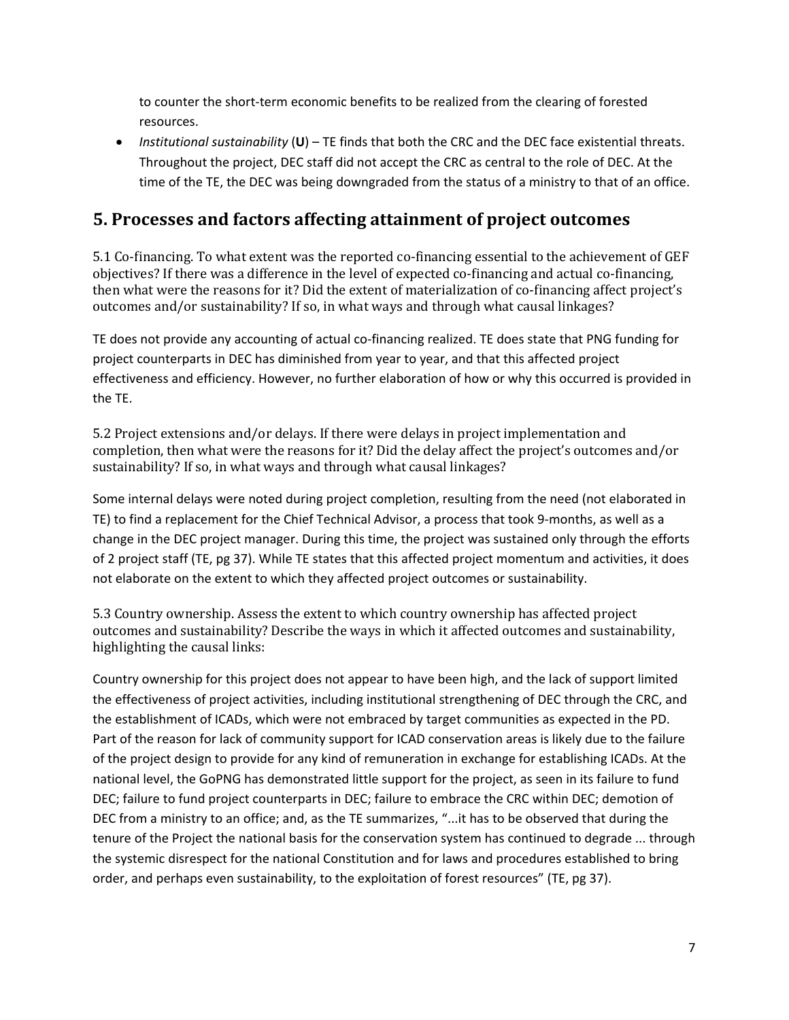to counter the short-term economic benefits to be realized from the clearing of forested resources.

• *Institutional sustainability* (**U**) – TE finds that both the CRC and the DEC face existential threats. Throughout the project, DEC staff did not accept the CRC as central to the role of DEC. At the time of the TE, the DEC was being downgraded from the status of a ministry to that of an office.

#### **5. Processes and factors affecting attainment of project outcomes**

5.1 Co-financing. To what extent was the reported co-financing essential to the achievement of GEF objectives? If there was a difference in the level of expected co-financing and actual co-financing, then what were the reasons for it? Did the extent of materialization of co-financing affect project's outcomes and/or sustainability? If so, in what ways and through what causal linkages?

TE does not provide any accounting of actual co-financing realized. TE does state that PNG funding for project counterparts in DEC has diminished from year to year, and that this affected project effectiveness and efficiency. However, no further elaboration of how or why this occurred is provided in the TE.

5.2 Project extensions and/or delays. If there were delays in project implementation and completion, then what were the reasons for it? Did the delay affect the project's outcomes and/or sustainability? If so, in what ways and through what causal linkages?

Some internal delays were noted during project completion, resulting from the need (not elaborated in TE) to find a replacement for the Chief Technical Advisor, a process that took 9-months, as well as a change in the DEC project manager. During this time, the project was sustained only through the efforts of 2 project staff (TE, pg 37). While TE states that this affected project momentum and activities, it does not elaborate on the extent to which they affected project outcomes or sustainability.

5.3 Country ownership. Assess the extent to which country ownership has affected project outcomes and sustainability? Describe the ways in which it affected outcomes and sustainability, highlighting the causal links:

Country ownership for this project does not appear to have been high, and the lack of support limited the effectiveness of project activities, including institutional strengthening of DEC through the CRC, and the establishment of ICADs, which were not embraced by target communities as expected in the PD. Part of the reason for lack of community support for ICAD conservation areas is likely due to the failure of the project design to provide for any kind of remuneration in exchange for establishing ICADs. At the national level, the GoPNG has demonstrated little support for the project, as seen in its failure to fund DEC; failure to fund project counterparts in DEC; failure to embrace the CRC within DEC; demotion of DEC from a ministry to an office; and, as the TE summarizes, "...it has to be observed that during the tenure of the Project the national basis for the conservation system has continued to degrade ... through the systemic disrespect for the national Constitution and for laws and procedures established to bring order, and perhaps even sustainability, to the exploitation of forest resources" (TE, pg 37).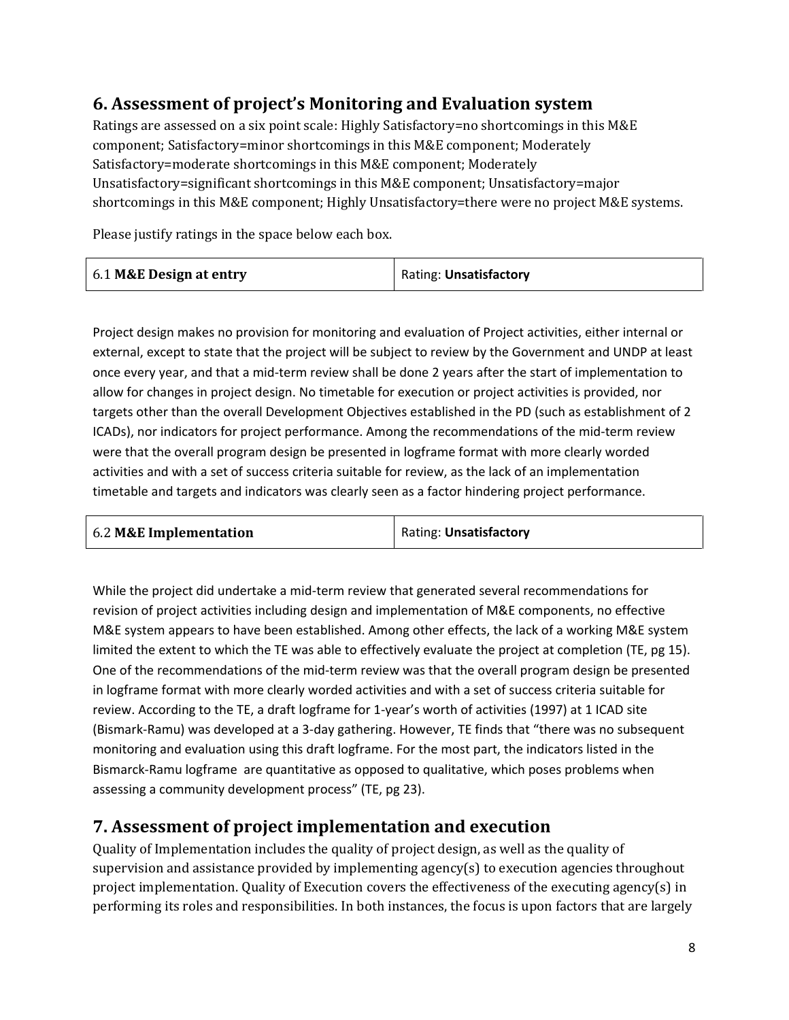### **6. Assessment of project's Monitoring and Evaluation system**

Ratings are assessed on a six point scale: Highly Satisfactory=no shortcomings in this M&E component; Satisfactory=minor shortcomings in this M&E component; Moderately Satisfactory=moderate shortcomings in this M&E component; Moderately Unsatisfactory=significant shortcomings in this M&E component; Unsatisfactory=major shortcomings in this M&E component; Highly Unsatisfactory=there were no project M&E systems.

Please justify ratings in the space below each box.

|  | 6.1 M&E Design at entry | Rating: <b>Unsatisfactory</b> |
|--|-------------------------|-------------------------------|
|--|-------------------------|-------------------------------|

Project design makes no provision for monitoring and evaluation of Project activities, either internal or external, except to state that the project will be subject to review by the Government and UNDP at least once every year, and that a mid-term review shall be done 2 years after the start of implementation to allow for changes in project design. No timetable for execution or project activities is provided, nor targets other than the overall Development Objectives established in the PD (such as establishment of 2 ICADs), nor indicators for project performance. Among the recommendations of the mid-term review were that the overall program design be presented in logframe format with more clearly worded activities and with a set of success criteria suitable for review, as the lack of an implementation timetable and targets and indicators was clearly seen as a factor hindering project performance.

| 6.2 M&E Implementation | Rating: Unsatisfactory |
|------------------------|------------------------|
|                        |                        |

While the project did undertake a mid-term review that generated several recommendations for revision of project activities including design and implementation of M&E components, no effective M&E system appears to have been established. Among other effects, the lack of a working M&E system limited the extent to which the TE was able to effectively evaluate the project at completion (TE, pg 15). One of the recommendations of the mid-term review was that the overall program design be presented in logframe format with more clearly worded activities and with a set of success criteria suitable for review. According to the TE, a draft logframe for 1-year's worth of activities (1997) at 1 ICAD site (Bismark-Ramu) was developed at a 3-day gathering. However, TE finds that "there was no subsequent monitoring and evaluation using this draft logframe. For the most part, the indicators listed in the Bismarck-Ramu logframe are quantitative as opposed to qualitative, which poses problems when assessing a community development process" (TE, pg 23).

#### **7. Assessment of project implementation and execution**

Quality of Implementation includes the quality of project design, as well as the quality of supervision and assistance provided by implementing agency(s) to execution agencies throughout project implementation. Quality of Execution covers the effectiveness of the executing agency(s) in performing its roles and responsibilities. In both instances, the focus is upon factors that are largely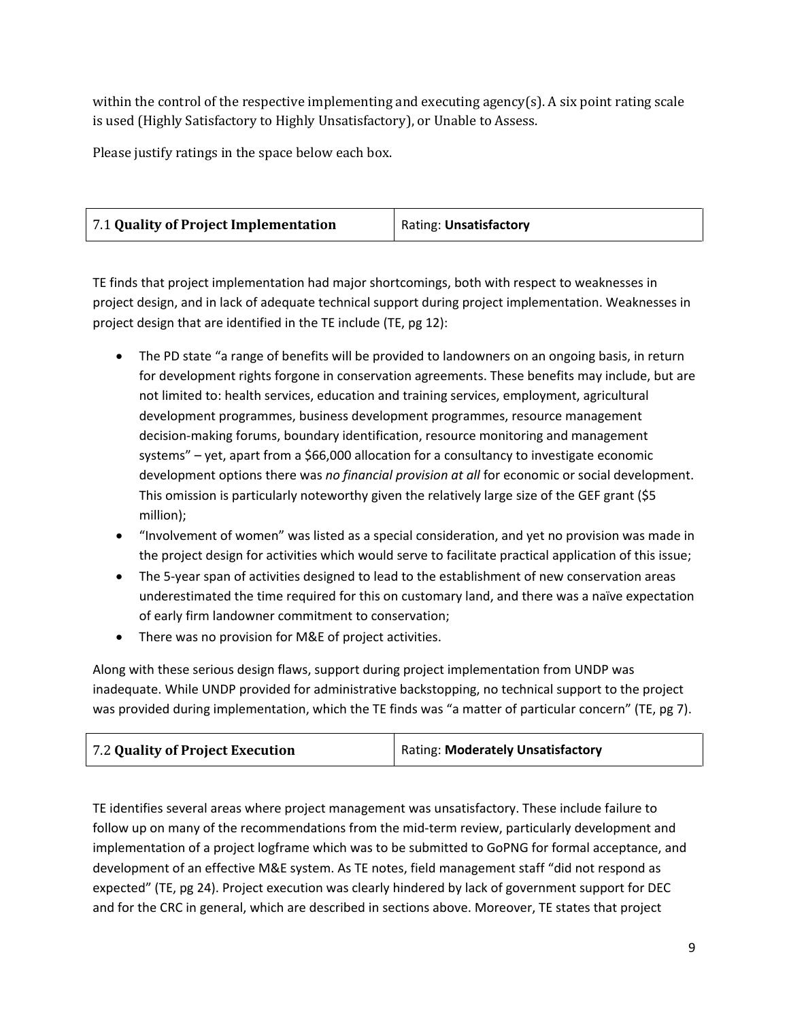within the control of the respective implementing and executing agency(s). A six point rating scale is used (Highly Satisfactory to Highly Unsatisfactory), or Unable to Assess.

Please justify ratings in the space below each box.

| 7.1 Quality of Project Implementation | Rating: Unsatisfactory |
|---------------------------------------|------------------------|
|---------------------------------------|------------------------|

TE finds that project implementation had major shortcomings, both with respect to weaknesses in project design, and in lack of adequate technical support during project implementation. Weaknesses in project design that are identified in the TE include (TE, pg 12):

- The PD state "a range of benefits will be provided to landowners on an ongoing basis, in return for development rights forgone in conservation agreements. These benefits may include, but are not limited to: health services, education and training services, employment, agricultural development programmes, business development programmes, resource management decision-making forums, boundary identification, resource monitoring and management systems" – yet, apart from a \$66,000 allocation for a consultancy to investigate economic development options there was *no financial provision at all* for economic or social development. This omission is particularly noteworthy given the relatively large size of the GEF grant (\$5 million);
- "Involvement of women" was listed as a special consideration, and yet no provision was made in the project design for activities which would serve to facilitate practical application of this issue;
- The 5-year span of activities designed to lead to the establishment of new conservation areas underestimated the time required for this on customary land, and there was a naïve expectation of early firm landowner commitment to conservation;
- There was no provision for M&E of project activities.

Along with these serious design flaws, support during project implementation from UNDP was inadequate. While UNDP provided for administrative backstopping, no technical support to the project was provided during implementation, which the TE finds was "a matter of particular concern" (TE, pg 7).

| 7.2 Quality of Project Execution | Rating: Moderately Unsatisfactory |
|----------------------------------|-----------------------------------|
|----------------------------------|-----------------------------------|

TE identifies several areas where project management was unsatisfactory. These include failure to follow up on many of the recommendations from the mid-term review, particularly development and implementation of a project logframe which was to be submitted to GoPNG for formal acceptance, and development of an effective M&E system. As TE notes, field management staff "did not respond as expected" (TE, pg 24). Project execution was clearly hindered by lack of government support for DEC and for the CRC in general, which are described in sections above. Moreover, TE states that project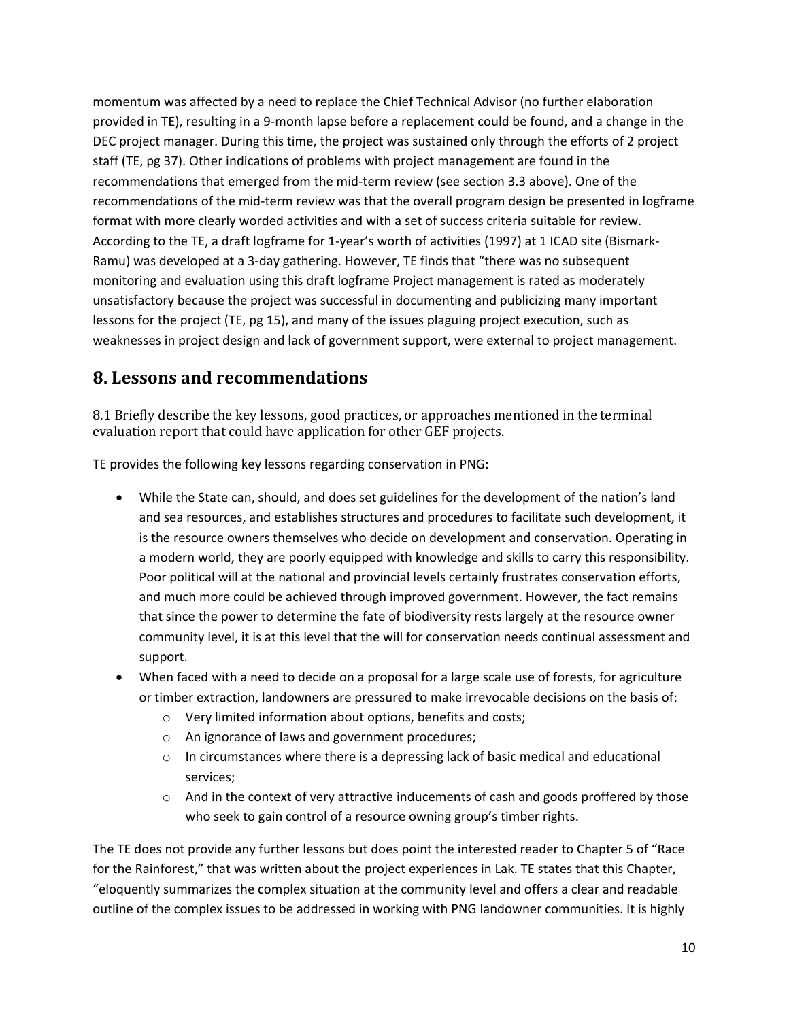momentum was affected by a need to replace the Chief Technical Advisor (no further elaboration provided in TE), resulting in a 9-month lapse before a replacement could be found, and a change in the DEC project manager. During this time, the project was sustained only through the efforts of 2 project staff (TE, pg 37). Other indications of problems with project management are found in the recommendations that emerged from the mid-term review (see section 3.3 above). One of the recommendations of the mid-term review was that the overall program design be presented in logframe format with more clearly worded activities and with a set of success criteria suitable for review. According to the TE, a draft logframe for 1-year's worth of activities (1997) at 1 ICAD site (Bismark-Ramu) was developed at a 3-day gathering. However, TE finds that "there was no subsequent monitoring and evaluation using this draft logframe Project management is rated as moderately unsatisfactory because the project was successful in documenting and publicizing many important lessons for the project (TE, pg 15), and many of the issues plaguing project execution, such as weaknesses in project design and lack of government support, were external to project management.

#### **8. Lessons and recommendations**

8.1 Briefly describe the key lessons, good practices, or approaches mentioned in the terminal evaluation report that could have application for other GEF projects.

TE provides the following key lessons regarding conservation in PNG:

- While the State can, should, and does set guidelines for the development of the nation's land and sea resources, and establishes structures and procedures to facilitate such development, it is the resource owners themselves who decide on development and conservation. Operating in a modern world, they are poorly equipped with knowledge and skills to carry this responsibility. Poor political will at the national and provincial levels certainly frustrates conservation efforts, and much more could be achieved through improved government. However, the fact remains that since the power to determine the fate of biodiversity rests largely at the resource owner community level, it is at this level that the will for conservation needs continual assessment and support.
- When faced with a need to decide on a proposal for a large scale use of forests, for agriculture or timber extraction, landowners are pressured to make irrevocable decisions on the basis of:
	- o Very limited information about options, benefits and costs;
	- o An ignorance of laws and government procedures;
	- $\circ$  In circumstances where there is a depressing lack of basic medical and educational services;
	- $\circ$  And in the context of very attractive inducements of cash and goods proffered by those who seek to gain control of a resource owning group's timber rights.

The TE does not provide any further lessons but does point the interested reader to Chapter 5 of "Race for the Rainforest," that was written about the project experiences in Lak. TE states that this Chapter, "eloquently summarizes the complex situation at the community level and offers a clear and readable outline of the complex issues to be addressed in working with PNG landowner communities. It is highly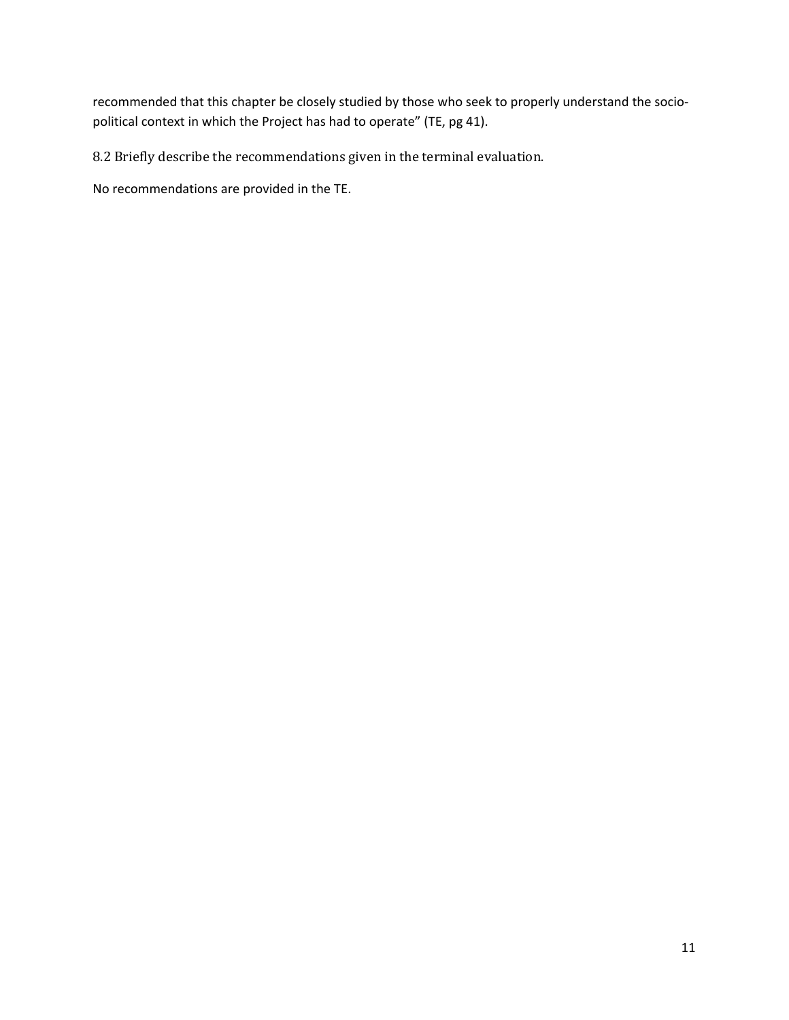recommended that this chapter be closely studied by those who seek to properly understand the sociopolitical context in which the Project has had to operate" (TE, pg 41).

8.2 Briefly describe the recommendations given in the terminal evaluation.

No recommendations are provided in the TE.